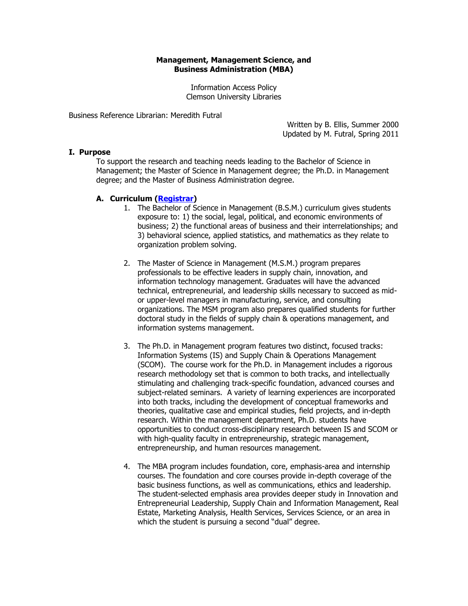## **Management, Management Science, and Business Administration (MBA)**

Information Access Policy Clemson University Libraries

Business Reference Librarian: Meredith Futral

Written by B. Ellis, Summer 2000 Updated by M. Futral, Spring 2011

## **I. Purpose**

To support the research and teaching needs leading to the Bachelor of Science in Management; the Master of Science in Management degree; the Ph.D. in Management degree; and the Master of Business Administration degree.

## **A. Curriculum [\(Registrar\)](http://www.registrar.clemson.edu/)**

- 1. The Bachelor of Science in Management (B.S.M.) curriculum gives students exposure to: 1) the social, legal, political, and economic environments of business; 2) the functional areas of business and their interrelationships; and 3) behavioral science, applied statistics, and mathematics as they relate to organization problem solving.
- 2. The Master of Science in Management (M.S.M.) program prepares professionals to be effective leaders in supply chain, innovation, and information technology management. Graduates will have the advanced technical, entrepreneurial, and leadership skills necessary to succeed as midor upper-level managers in manufacturing, service, and consulting organizations. The MSM program also prepares qualified students for further doctoral study in the fields of supply chain & operations management, and information systems management.
- 3. The Ph.D. in Management program features two distinct, focused tracks: Information Systems (IS) and Supply Chain & Operations Management (SCOM). The course work for the Ph.D. in Management includes a rigorous research methodology set that is common to both tracks, and intellectually stimulating and challenging track-specific foundation, advanced courses and subject-related seminars. A variety of learning experiences are incorporated into both tracks, including the development of conceptual frameworks and theories, qualitative case and empirical studies, field projects, and in-depth research. Within the management department, Ph.D. students have opportunities to conduct cross-disciplinary research between IS and SCOM or with high-quality faculty in entrepreneurship, strategic management, entrepreneurship, and human resources management.
- 4. The MBA program includes foundation, core, emphasis-area and internship courses. The foundation and core courses provide in-depth coverage of the basic business functions, as well as communications, ethics and leadership. The student-selected emphasis area provides deeper study in Innovation and Entrepreneurial Leadership, Supply Chain and Information Management, Real Estate, Marketing Analysis, Health Services, Services Science, or an area in which the student is pursuing a second "dual" degree.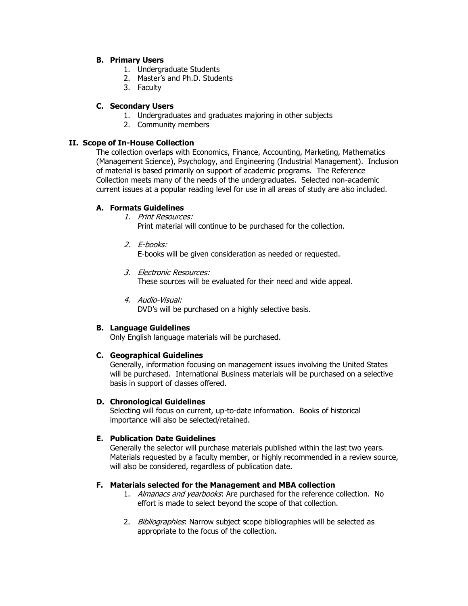## **B. Primary Users**

- 1. Undergraduate Students
- 2. Master's and Ph.D. Students
- 3. Faculty

# **C. Secondary Users**

- 1. Undergraduates and graduates majoring in other subjects
- 2. Community members

# **II. Scope of In-House Collection**

The collection overlaps with Economics, Finance, Accounting, Marketing, Mathematics (Management Science), Psychology, and Engineering (Industrial Management). Inclusion of material is based primarily on support of academic programs. The Reference Collection meets many of the needs of the undergraduates. Selected non-academic current issues at a popular reading level for use in all areas of study are also included.

# **A. Formats Guidelines**

1. Print Resources:

Print material will continue to be purchased for the collection.

2. E-books:

E-books will be given consideration as needed or requested.

3. Electronic Resources:

These sources will be evaluated for their need and wide appeal.

4. Audio-Visual:

DVD's will be purchased on a highly selective basis.

# **B. Language Guidelines**

Only English language materials will be purchased.

# **C. Geographical Guidelines**

Generally, information focusing on management issues involving the United States will be purchased. International Business materials will be purchased on a selective basis in support of classes offered.

# **D. Chronological Guidelines**

Selecting will focus on current, up-to-date information. Books of historical importance will also be selected/retained.

# **E. Publication Date Guidelines**

Generally the selector will purchase materials published within the last two years. Materials requested by a faculty member, or highly recommended in a review source, will also be considered, regardless of publication date.

## **F. Materials selected for the Management and MBA collection**

- 1. Almanacs and yearbooks: Are purchased for the reference collection. No effort is made to select beyond the scope of that collection.
- 2. Bibliographies: Narrow subject scope bibliographies will be selected as appropriate to the focus of the collection.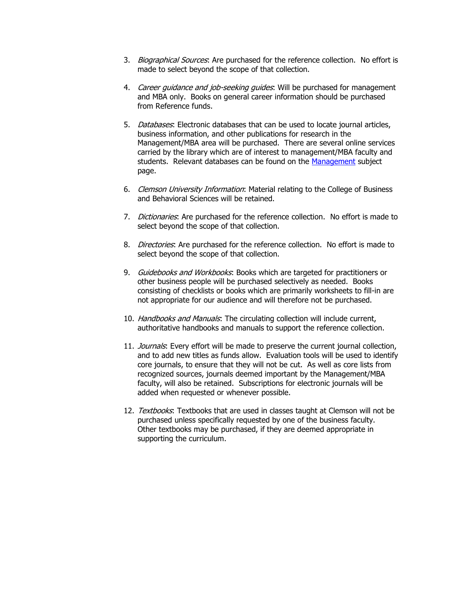- 3. Biographical Sources: Are purchased for the reference collection. No effort is made to select beyond the scope of that collection.
- 4. Career guidance and job-seeking guides. Will be purchased for management and MBA only. Books on general career information should be purchased from Reference funds.
- 5. Databases: Electronic databases that can be used to locate journal articles, business information, and other publications for research in the Management/MBA area will be purchased. There are several online services carried by the library which are of interest to management/MBA faculty and students. Relevant databases can be found on the [Management](http://clemson.libguides.com/management) subject page.
- 6. Clemson University Information: Material relating to the College of Business and Behavioral Sciences will be retained.
- 7. Dictionaries: Are purchased for the reference collection. No effort is made to select beyond the scope of that collection.
- 8. Directories: Are purchased for the reference collection. No effort is made to select beyond the scope of that collection.
- 9. Guidebooks and Workbooks: Books which are targeted for practitioners or other business people will be purchased selectively as needed. Books consisting of checklists or books which are primarily worksheets to fill-in are not appropriate for our audience and will therefore not be purchased.
- 10. Handbooks and Manuals: The circulating collection will include current, authoritative handbooks and manuals to support the reference collection.
- 11. Journals: Every effort will be made to preserve the current journal collection, and to add new titles as funds allow. Evaluation tools will be used to identify core journals, to ensure that they will not be cut. As well as core lists from recognized sources, journals deemed important by the Management/MBA faculty, will also be retained. Subscriptions for electronic journals will be added when requested or whenever possible.
- 12. Textbooks: Textbooks that are used in classes taught at Clemson will not be purchased unless specifically requested by one of the business faculty. Other textbooks may be purchased, if they are deemed appropriate in supporting the curriculum.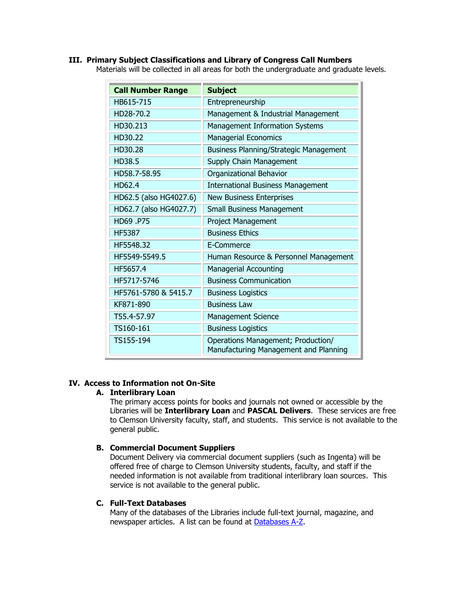## **III. Primary Subject Classifications and Library of Congress Call Numbers**

Materials will be collected in all areas for both the undergraduate and graduate levels.

| <b>Call Number Range</b> | <b>Subject</b>                                                              |
|--------------------------|-----------------------------------------------------------------------------|
| HB615-715                | Entrepreneurship                                                            |
| HD28-70.2                | Management & Industrial Management                                          |
| HD30.213                 | Management Information Systems                                              |
| HD30.22                  | <b>Managerial Economics</b>                                                 |
| HD30.28                  | Business Planning/Strategic Management                                      |
| HD38.5                   | Supply Chain Management                                                     |
| HD58.7-58.95             | Organizational Behavior                                                     |
| HD62.4                   | <b>International Business Management</b>                                    |
| HD62.5 (also HG4027.6)   | <b>New Business Enterprises</b>                                             |
| HD62.7 (also HG4027.7)   | <b>Small Business Management</b>                                            |
| HD69.P75                 | Project Management                                                          |
| <b>HF5387</b>            | <b>Business Ethics</b>                                                      |
| HF5548.32                | E-Commerce                                                                  |
| HF5549-5549.5            | Human Resource & Personnel Management                                       |
| HF5657.4                 | <b>Managerial Accounting</b>                                                |
| HF5717-5746              | <b>Business Communication</b>                                               |
| HF5761-5780 & 5415.7     | <b>Business Logistics</b>                                                   |
| KF871-890                | <b>Business Law</b>                                                         |
| T55.4-57.97              | <b>Management Science</b>                                                   |
| TS160-161                | <b>Business Logistics</b>                                                   |
| TS155-194                | Operations Management; Production/<br>Manufacturing Management and Planning |

# **IV. Access to Information not On-Site**

### **A. Interlibrary Loan**

The primary access points for books and journals not owned or accessible by the Libraries will be **Interlibrary Loan** and **PASCAL Delivers**. These services are free to Clemson University faculty, staff, and students. This service is not available to the general public.

## **B. Commercial Document Suppliers**

Document Delivery via commercial document suppliers (such as Ingenta) will be offered free of charge to Clemson University students, faculty, and staff if the needed information is not available from traditional interlibrary loan sources. This service is not available to the general public.

#### **C. Full-Text Databases**

Many of the databases of the Libraries include full-text journal, magazine, and newspaper articles. A list can be found at [Databases A-Z.](http://www.clemson.edu/library/allsubjects/databases_AZ.html)